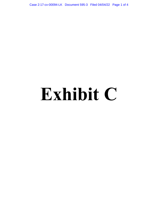Case 2:17-cv-00094-LK Document 595-3 Filed 04/04/22 Page 1 of 4

## **Exhibit C**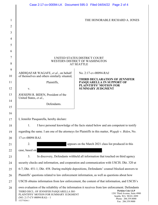|                |                                                                                                                                                                                                                                                                                                                                                                           | Case 2:17-cv-00094-LK Document 595-3 Filed 04/04/22 Page 2 of 4   |
|----------------|---------------------------------------------------------------------------------------------------------------------------------------------------------------------------------------------------------------------------------------------------------------------------------------------------------------------------------------------------------------------------|-------------------------------------------------------------------|
|                |                                                                                                                                                                                                                                                                                                                                                                           |                                                                   |
| 1              | THE HONORABLE RICHARD A. JONES                                                                                                                                                                                                                                                                                                                                            |                                                                   |
| $\overline{2}$ |                                                                                                                                                                                                                                                                                                                                                                           |                                                                   |
| 3              |                                                                                                                                                                                                                                                                                                                                                                           |                                                                   |
| $\overline{4}$ |                                                                                                                                                                                                                                                                                                                                                                           |                                                                   |
| 5              |                                                                                                                                                                                                                                                                                                                                                                           |                                                                   |
| 6              |                                                                                                                                                                                                                                                                                                                                                                           |                                                                   |
| $\tau$         | UNITED STATES DISTRICT COURT                                                                                                                                                                                                                                                                                                                                              |                                                                   |
| 8              | WESTERN DISTRICT OF WASHINGTON<br><b>AT SEATTLE</b>                                                                                                                                                                                                                                                                                                                       |                                                                   |
| 9              |                                                                                                                                                                                                                                                                                                                                                                           |                                                                   |
| 10             | ABDIQAFAR WAGAFE, et al., on behalf<br>of themselves and others similarly situated,                                                                                                                                                                                                                                                                                       | No. 2:17-cv-00094-RAJ                                             |
| 11             | Plaintiffs,                                                                                                                                                                                                                                                                                                                                                               | <b>THIRD DECLARATION OF JENNIFER</b><br>PASQUARELLA IN SUPPORT OF |
| 12             | V.                                                                                                                                                                                                                                                                                                                                                                        | <b>PLAINTIFFS' MOTION FOR</b><br><b>SUMMARY JUDGMENT</b>          |
| 13             | JOESEPH R. BIDEN, President of the                                                                                                                                                                                                                                                                                                                                        |                                                                   |
| 14             | United States, et al.,<br>Defendants.                                                                                                                                                                                                                                                                                                                                     |                                                                   |
| 15             |                                                                                                                                                                                                                                                                                                                                                                           |                                                                   |
| 16             |                                                                                                                                                                                                                                                                                                                                                                           |                                                                   |
| 17             | I, Jennifer Pasquarella, hereby declare:                                                                                                                                                                                                                                                                                                                                  |                                                                   |
| 18             | I have personal knowledge of the facts stated below and am competent to testify<br>1.                                                                                                                                                                                                                                                                                     |                                                                   |
| 19             | regarding the same. I am one of the attorneys for Plaintiffs in this matter, Wagafe v. Biden, No.                                                                                                                                                                                                                                                                         |                                                                   |
| 20             | 17-cv-00094 RAJ.                                                                                                                                                                                                                                                                                                                                                          |                                                                   |
| 21             | 2.<br>appears on the March 2021 class list produced in this                                                                                                                                                                                                                                                                                                               |                                                                   |
| 22             | case, based on                                                                                                                                                                                                                                                                                                                                                            |                                                                   |
| 23             | In discovery, Defendants withheld all information that touched on third agency<br>3.                                                                                                                                                                                                                                                                                      |                                                                   |
| 24             | security checks and information, and cooperation and communication with USCIS. Dkt. 320 at                                                                                                                                                                                                                                                                                |                                                                   |
| 25             | 6-7; Dkt. 451-1; Dkt. 458. During multiple depositions, Defendants' counsel blocked answers to                                                                                                                                                                                                                                                                            |                                                                   |
| 26             | Plaintiffs' questions related to law enforcement information, as well as questions about how                                                                                                                                                                                                                                                                              |                                                                   |
| 27             | USCIS obtains information from law enforcement, the content of that information, and USCIS's                                                                                                                                                                                                                                                                              |                                                                   |
| 28             | own evaluation of the reliability of the information it receives from law enforcement. Defendants<br><b>Perkins Coie LLP</b><br>THIRD DECL. OF JENNIFER PASQUARELLA ISO<br>1201 Third Avenue, Suite 4900<br>PLAINTIFFS' MOTION FOR SUMMARY JUDGMENT<br>Seattle, WA 98101-3099<br>$(NO. 2:17-CV-00094-RAJ) - 1$<br>Phone: 206.359.8000<br>152774266.1<br>Fax: 206.359.9000 |                                                                   |

 $\mathbf l$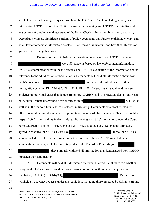## Case 2:17-cv-00094-LK Document 595-3 Filed 04/04/22 Page 3 of 4

withheld answers to a range of questions about the FBI Name Check, including what types of information USCIS has told the FBI it is interested in receiving and USCIS's own studies and evaluations of problems with accuracy of the Name Check information. In written discovery, Defendants withheld significant portions of policy documents that further explain how, why, and when law enforcement information creates NS concerns or indicators, and how that information guides USCIS's adjudications.

1

2

3

4

5

6

7

8

9

10

11

12

13

14

15

16

17

18

19

20

21

22

23

24

25

26

27

28

4. Defendants also withheld all information on why and how USCIS concluded were NS concerns based on law enforcement information, USCIS's communication with those agencies, and USCIS's evaluation of the information and its relevance to the adjudication of their benefits. Defendants withheld all information about how the NS concerns of influenced the adjudication of their immigration benefits. Dkt. 274 at 5; Dkt. 451-1; Dkt. 458. Defendants thus withheld the very evidence in individual cases that demonstrates how CARRP leads to pretextual denials and years of inaction. Defendants withheld this information in Theorem 2. A-Files, as well as in the random four A-Files disclosed in discovery. Defendants also blocked Plaintiffs' efforts to audit the A-Files in a more representative sample of class members. Plaintiffs sought to inspect 100 A-Files, and Defendants refused. Following Plaintiffs' motion to compel, the Court permitted Plaintiffs to only inspect one to five A-Files. Dkt. 274 at 7. Defendants ultimately agreed to produce four A-Files. Just like  $\blacksquare$ , those four A-Files were redacted to exclude all information that demonstrated how CARRP impacted their adjudication. Finally, while Defendants produced the Record of Proceedings of , they similarly withheld all information that demonstrated how CARRP impacted their adjudication. 5. Defendants withheld all information that would permit Plaintiffs to test whether delays under CARRP were based on proper invocation of the withholding of adjudication regulation,  $8 \text{ C.F.R. } \S 103.2(b)(18),$  . Defendants withheld all abeyance requests under the regulation, including those prepared by USCIS staff and

THIRD DECL. OF JENNIFER PASQUARELLA ISO PLAINTIFFS' MOTION FOR SUMMARY JUDGMENT  $(NO. 2:17-CV-00094-RAJ) - 2$ 152774266.1

**Perkins Coie LLP**  1201 Third Avenue, Suite 4900 Seattle, WA 98101-3099 Phone: 206.359.8000 Fax: 206.359.9000